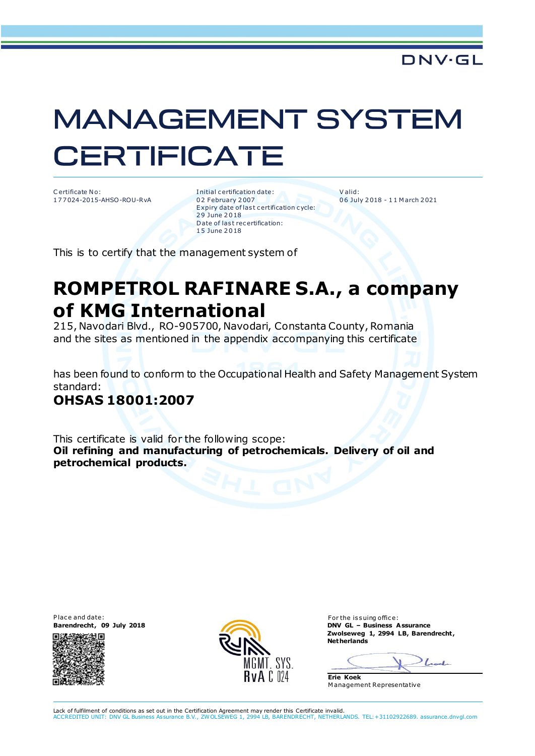# **MANAGEMENT SYSTEM CERTIFICATE**

C ertificate No: 1 7 7 024-2015-AHSO-ROU-RvA I nitial c ertification date: 0 2 February 2 007 Expiry date of last certification cycle: 29 June 2018 Date of last recertification: 1 5 June 2 0 18

V alid: 0 6 July 2 018 - 1 1 M arch 2 021

This is to certify that the management system of

## **ROMPETROL RAFINARE S.A., a company of KMG International**

215, Navodari Blvd., RO-905700, Navodari, Constanta County, Romania and the sites as mentioned in the appendix accompanying this certificate

has been found to conform to the Occupational Health and Safety Management System standard:

#### **OHSAS 18001:2007**

This certificate is valid for the following scope: **Oil refining and manufacturing of petrochemicals. Delivery of oil and petrochemical products.**

Place and date: For the issuing office: For the issuing office:<br> **Barendrecht, 09 July 2018 Example 2018 Example 2018 EXAMPLE 2018** 





**Barendrecht , 09 July 2018 DNV GL – Business Assurance Zwolseweg 1, 2994 LB, Barendrecht , Netherlands**

Look

**Erie Koek** M anagement Representative

Lack of fulfilment of conditions as set out in the Certification Agreement may render this Certificate invalid. ACCREDITED UNIT: DNV GL Business Assurance B.V., ZW OLSEWEG 1, 2994 LB, BARENDRECHT, NETHERLANDS. TEL:+31102922689. assurance.dnvgl.com